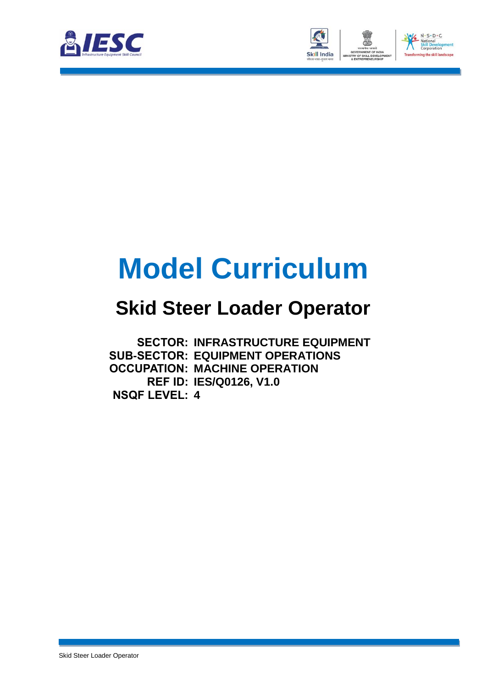



# **Model Curriculum**

### **Skid Steer Loader Operator**

**SECTOR: INFRASTRUCTURE EQUIPMENT SUB-SECTOR: EQUIPMENT OPERATIONS OCCUPATION: MACHINE OPERATION REF ID: IES/Q0126, V1.0 NSQF LEVEL: 4**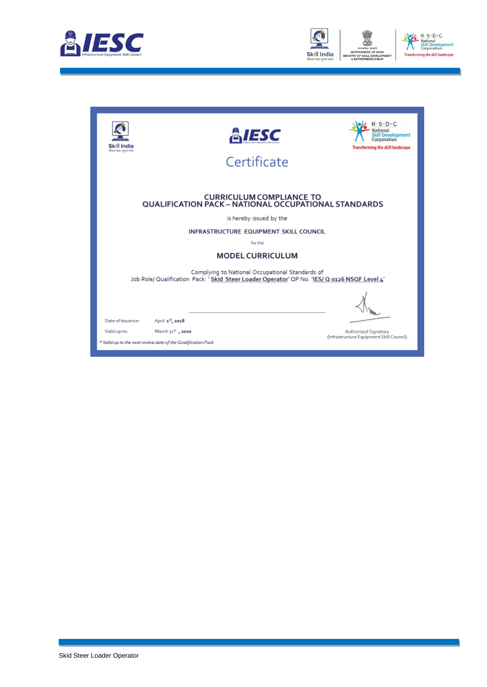



| II India<br>कीकार भारत-सुधार भारत | <b>&amp;IESC</b><br>Certificate                                                                                                                 | $-S \cdot D \cdot C$<br>Development<br>Corporation<br><b>Transforming the skill landscape</b> |  |  |  |  |  |
|-----------------------------------|-------------------------------------------------------------------------------------------------------------------------------------------------|-----------------------------------------------------------------------------------------------|--|--|--|--|--|
|                                   | <b>CURRICULUM COMPLIANCE TO</b><br><b>QUALIFICATION PACK - NATIONAL OCCUPATIONAL STANDARDS</b>                                                  |                                                                                               |  |  |  |  |  |
|                                   | is hereby issued by the                                                                                                                         |                                                                                               |  |  |  |  |  |
|                                   | INFRASTRUCTURE EQUIPMENT SKILL COUNCIL                                                                                                          |                                                                                               |  |  |  |  |  |
|                                   | for the                                                                                                                                         |                                                                                               |  |  |  |  |  |
|                                   | <b>MODEL CURRICULUM</b>                                                                                                                         |                                                                                               |  |  |  |  |  |
|                                   | Complying to National Occupational Standards of<br>Job Role/ Qualification Pack: 'Skid Steer Loader Operator' QP No. 'IES/ Q 0126 NSQF Level 4' |                                                                                               |  |  |  |  |  |
|                                   |                                                                                                                                                 |                                                                                               |  |  |  |  |  |
| Date of Issuance:                 | April 1st, 2018                                                                                                                                 |                                                                                               |  |  |  |  |  |
| Valid up to:                      | March 31 <sup>%</sup> , 2020                                                                                                                    | Authorized Signatory<br>(Infrastructure Equipment Skill Council)                              |  |  |  |  |  |
|                                   | * Valid up to the next review date of the Qualification Pack                                                                                    |                                                                                               |  |  |  |  |  |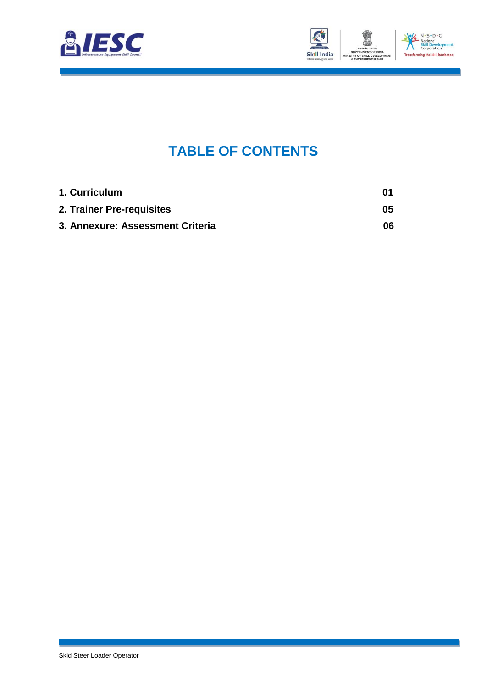



### **TABLE OF CONTENTS**

<span id="page-2-0"></span>

| 1. Curriculum                    | 01  |
|----------------------------------|-----|
| 2. Trainer Pre-requisites        | 05  |
| 3. Annexure: Assessment Criteria | 06. |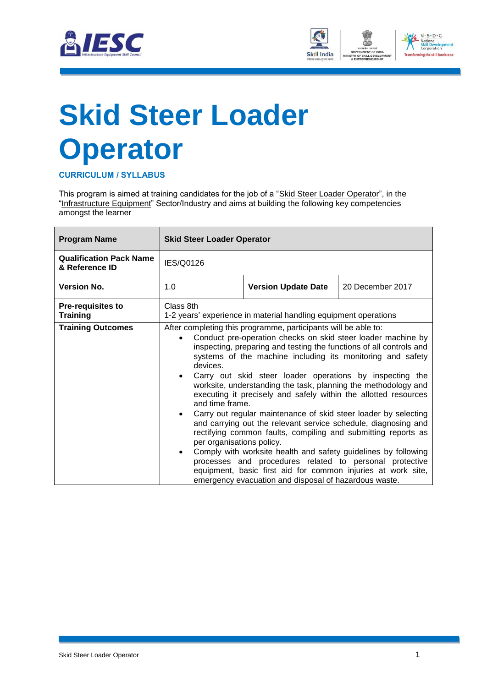



# <span id="page-3-0"></span>**Skid Steer Loader Operator**

**CURRICULUM / SYLLABUS**

This program is aimed at training candidates for the job of a "Skid Steer Loader Operator", in the "Infrastructure Equipment" Sector/Industry and aims at building the following key competencies amongst the learner

| <b>Program Name</b>                              |                                                                                             | <b>Skid Steer Loader Operator</b>                                                                                                                                                                                                                                                                                                                                                                                                                                                                                                                                                                                                                                                                                                                                                                                                                                                                                       |                  |  |  |  |
|--------------------------------------------------|---------------------------------------------------------------------------------------------|-------------------------------------------------------------------------------------------------------------------------------------------------------------------------------------------------------------------------------------------------------------------------------------------------------------------------------------------------------------------------------------------------------------------------------------------------------------------------------------------------------------------------------------------------------------------------------------------------------------------------------------------------------------------------------------------------------------------------------------------------------------------------------------------------------------------------------------------------------------------------------------------------------------------------|------------------|--|--|--|
| <b>Qualification Pack Name</b><br>& Reference ID | IES/Q0126                                                                                   |                                                                                                                                                                                                                                                                                                                                                                                                                                                                                                                                                                                                                                                                                                                                                                                                                                                                                                                         |                  |  |  |  |
| <b>Version No.</b>                               | 1.0                                                                                         | <b>Version Update Date</b>                                                                                                                                                                                                                                                                                                                                                                                                                                                                                                                                                                                                                                                                                                                                                                                                                                                                                              | 20 December 2017 |  |  |  |
| <b>Pre-requisites to</b><br><b>Training</b>      | Class 8th<br>1-2 years' experience in material handling equipment operations                |                                                                                                                                                                                                                                                                                                                                                                                                                                                                                                                                                                                                                                                                                                                                                                                                                                                                                                                         |                  |  |  |  |
| <b>Training Outcomes</b>                         | devices.<br>$\bullet$<br>$\bullet$<br>emergency evacuation and disposal of hazardous waste. | After completing this programme, participants will be able to:<br>Conduct pre-operation checks on skid steer loader machine by<br>inspecting, preparing and testing the functions of all controls and<br>systems of the machine including its monitoring and safety<br>Carry out skid steer loader operations by inspecting the<br>worksite, understanding the task, planning the methodology and<br>executing it precisely and safely within the allotted resources<br>and time frame.<br>Carry out regular maintenance of skid steer loader by selecting<br>and carrying out the relevant service schedule, diagnosing and<br>rectifying common faults, compiling and submitting reports as<br>per organisations policy.<br>Comply with worksite health and safety guidelines by following<br>processes and procedures related to personal protective<br>equipment, basic first aid for common injuries at work site, |                  |  |  |  |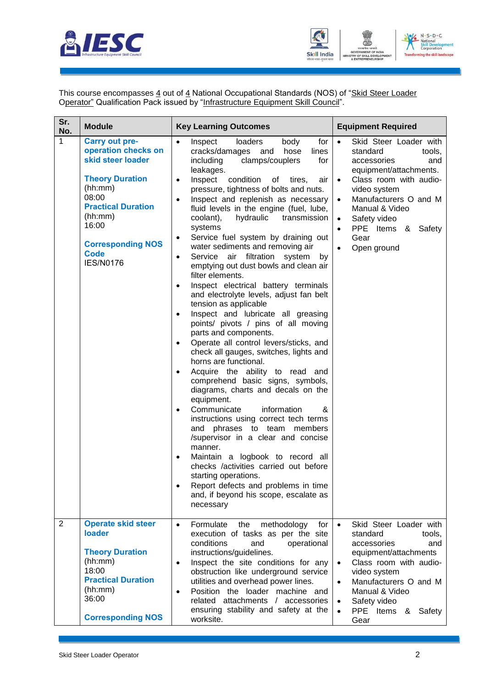



This course encompasses 4 out of 4 National Occupational Standards (NOS) of "Skid Steer Loader Operator" Qualification Pack issued by "Infrastructure Equipment Skill Council".

| Sr.<br>No. | <b>Module</b>                                                                                                                                                                                                                   | <b>Key Learning Outcomes</b>                                                                                                                                                                                                                                                                                                                                                                                                                                                                                                                                                                                                                                                                                                                                                                                                                                                                                                                                                                                                                                                                                                                                                                                                                                                                                                                                                                                                                                                                                                         | <b>Equipment Required</b>                                                                                                                                                                                                                                                                                                    |
|------------|---------------------------------------------------------------------------------------------------------------------------------------------------------------------------------------------------------------------------------|--------------------------------------------------------------------------------------------------------------------------------------------------------------------------------------------------------------------------------------------------------------------------------------------------------------------------------------------------------------------------------------------------------------------------------------------------------------------------------------------------------------------------------------------------------------------------------------------------------------------------------------------------------------------------------------------------------------------------------------------------------------------------------------------------------------------------------------------------------------------------------------------------------------------------------------------------------------------------------------------------------------------------------------------------------------------------------------------------------------------------------------------------------------------------------------------------------------------------------------------------------------------------------------------------------------------------------------------------------------------------------------------------------------------------------------------------------------------------------------------------------------------------------------|------------------------------------------------------------------------------------------------------------------------------------------------------------------------------------------------------------------------------------------------------------------------------------------------------------------------------|
| 1          | <b>Carry out pre-</b><br>operation checks on<br>skid steer loader<br><b>Theory Duration</b><br>(hh:mm)<br>08:00<br><b>Practical Duration</b><br>(hh:mm)<br>16:00<br><b>Corresponding NOS</b><br><b>Code</b><br><b>IES/N0176</b> | $\bullet$<br>for<br>Inspect<br>loaders<br>body<br>cracks/damages<br>hose<br>lines<br>and<br>clamps/couplers<br>including<br>for<br>leakages.<br>Inspect<br>condition<br>of<br>tires,<br>air<br>$\bullet$<br>pressure, tightness of bolts and nuts.<br>Inspect and replenish as necessary<br>$\bullet$<br>fluid levels in the engine (fuel, lube,<br>hydraulic<br>transmission<br>coolant),<br>systems<br>Service fuel system by draining out<br>$\bullet$<br>water sediments and removing air<br>Service air filtration<br>system<br>by<br>$\bullet$<br>emptying out dust bowls and clean air<br>filter elements.<br>Inspect electrical battery terminals<br>$\bullet$<br>and electrolyte levels, adjust fan belt<br>tension as applicable<br>Inspect and lubricate all greasing<br>$\bullet$<br>points/ pivots / pins of all moving<br>parts and components.<br>Operate all control levers/sticks, and<br>$\bullet$<br>check all gauges, switches, lights and<br>horns are functional.<br>Acquire the ability to read and<br>$\bullet$<br>comprehend basic signs, symbols,<br>diagrams, charts and decals on the<br>equipment.<br>Communicate<br>information<br>&<br>$\bullet$<br>instructions using correct tech terms<br>and phrases to team members<br>/supervisor in a clear and concise<br>manner.<br>Maintain a logbook to record all<br>$\bullet$<br>checks /activities carried out before<br>starting operations.<br>Report defects and problems in time<br>$\bullet$<br>and, if beyond his scope, escalate as<br>necessary | $\bullet$<br>Skid Steer Loader with<br>standard<br>tools,<br>accessories<br>and<br>equipment/attachments.<br>Class room with audio-<br>$\bullet$<br>video system<br>Manufacturers O and M<br>$\bullet$<br>Manual & Video<br>Safety video<br>$\bullet$<br>PPE Items & Safety<br>$\bullet$<br>Gear<br>Open ground<br>$\bullet$ |
| 2          | <b>Operate skid steer</b><br>loader<br><b>Theory Duration</b><br>(hh:mm)<br>18:00<br><b>Practical Duration</b><br>(hh:mm)<br>36:00<br><b>Corresponding NOS</b>                                                                  | Formulate<br>$\bullet$<br>methodology<br>the<br>for<br>execution of tasks as per the site<br>conditions<br>and<br>operational<br>instructions/guidelines.<br>Inspect the site conditions for any<br>$\bullet$<br>obstruction like underground service<br>utilities and overhead power lines.<br>Position the loader machine and<br>$\bullet$<br>related attachments / accessories<br>ensuring stability and safety at the<br>worksite.                                                                                                                                                                                                                                                                                                                                                                                                                                                                                                                                                                                                                                                                                                                                                                                                                                                                                                                                                                                                                                                                                               | Skid Steer Loader with<br>$\bullet$<br>standard<br>tools,<br>accessories<br>and<br>equipment/attachments<br>Class room with audio-<br>$\bullet$<br>video system<br>Manufacturers O and M<br>$\bullet$<br>Manual & Video<br>Safety video<br>$\bullet$<br>PPE Items<br>Safety<br>&<br>$\bullet$<br>Gear                        |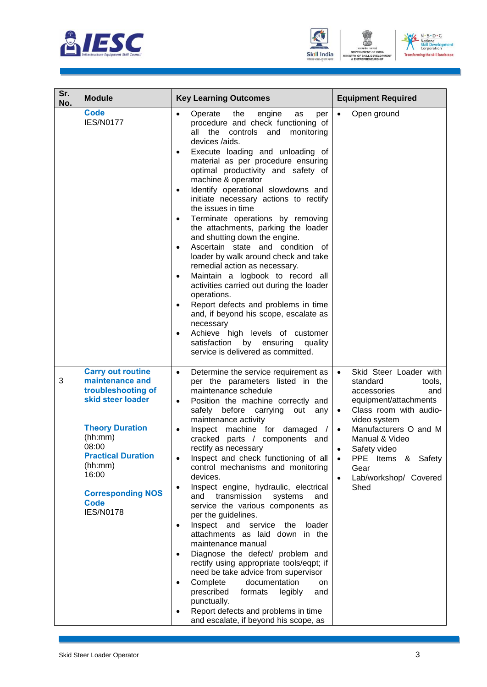





| Sr.<br>No. | <b>Module</b>                                                                                                                                                                                                                                        | <b>Key Learning Outcomes</b>                                                                                                                                                                                                                                                                                                                                                                                                                                                                                                                                                                                                                                                                                                                                                                                                                                                                                                                                                                                                                  | <b>Equipment Required</b>                                                                                                                                                                                                                                                                                                                     |
|------------|------------------------------------------------------------------------------------------------------------------------------------------------------------------------------------------------------------------------------------------------------|-----------------------------------------------------------------------------------------------------------------------------------------------------------------------------------------------------------------------------------------------------------------------------------------------------------------------------------------------------------------------------------------------------------------------------------------------------------------------------------------------------------------------------------------------------------------------------------------------------------------------------------------------------------------------------------------------------------------------------------------------------------------------------------------------------------------------------------------------------------------------------------------------------------------------------------------------------------------------------------------------------------------------------------------------|-----------------------------------------------------------------------------------------------------------------------------------------------------------------------------------------------------------------------------------------------------------------------------------------------------------------------------------------------|
|            | <b>Code</b><br><b>IES/N0177</b>                                                                                                                                                                                                                      | the<br>Operate<br>engine<br>$\bullet$<br>as<br>per<br>procedure and check functioning of<br>all the controls and<br>monitoring<br>devices /aids.<br>Execute loading and unloading of<br>$\bullet$<br>material as per procedure ensuring<br>optimal productivity and safety of<br>machine & operator<br>Identify operational slowdowns and<br>$\bullet$<br>initiate necessary actions to rectify<br>the issues in time<br>Terminate operations by removing<br>$\bullet$<br>the attachments, parking the loader<br>and shutting down the engine.<br>Ascertain state and condition of<br>$\bullet$<br>loader by walk around check and take<br>remedial action as necessary.<br>Maintain a logbook to record all<br>$\bullet$<br>activities carried out during the loader<br>operations.<br>Report defects and problems in time<br>and, if beyond his scope, escalate as<br>necessary<br>Achieve high levels of customer<br>satisfaction by ensuring<br>quality<br>service is delivered as committed.                                             | Open ground                                                                                                                                                                                                                                                                                                                                   |
| 3          | <b>Carry out routine</b><br>maintenance and<br>troubleshooting of<br>skid steer loader<br><b>Theory Duration</b><br>(hh:mm)<br>08:00<br><b>Practical Duration</b><br>(hh:mm)<br>16:00<br><b>Corresponding NOS</b><br><b>Code</b><br><b>IES/N0178</b> | Determine the service requirement as<br>$\bullet$<br>per the parameters listed in the<br>maintenance schedule<br>Position the machine correctly and<br>$\bullet$<br>safely before carrying out<br>any<br>maintenance activity<br>Inspect machine for damaged<br>$\bullet$<br>$\sqrt{ }$<br>cracked parts / components and<br>rectify as necessary<br>Inspect and check functioning of all<br>$\bullet$<br>control mechanisms and monitoring<br>devices.<br>Inspect engine, hydraulic, electrical<br>٠<br>and transmission<br>systems<br>and<br>service the various components as<br>per the guidelines.<br>Inspect and service the<br>loader<br>attachments as laid down in the<br>maintenance manual<br>Diagnose the defect/ problem and<br>$\bullet$<br>rectify using appropriate tools/eqpt; if<br>need be take advice from supervisor<br>Complete documentation<br>on<br>$\bullet$<br>prescribed<br>formats<br>legibly<br>and<br>punctually.<br>Report defects and problems in time<br>$\bullet$<br>and escalate, if beyond his scope, as | Skid Steer Loader with<br>$\bullet$<br>standard<br>tools.<br>accessories<br>and<br>equipment/attachments<br>Class room with audio-<br>$\bullet$<br>video system<br>Manufacturers O and M<br>$\bullet$<br>Manual & Video<br>Safety video<br>$\bullet$<br>PPE Items & Safety<br>$\bullet$<br>Gear<br>Lab/workshop/ Covered<br>$\bullet$<br>Shed |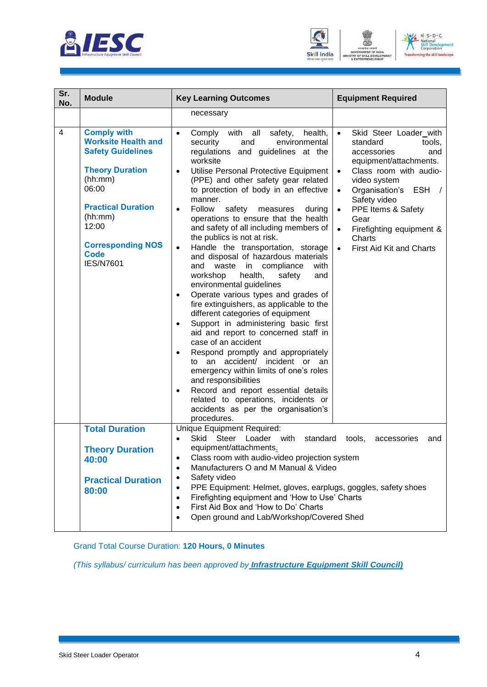





| Sr.<br>No. | <b>Module</b>                                                                                                                                                                                                                              | <b>Key Learning Outcomes</b>                                                                                                                                                                                                                                                                                                                                                                                                                                                                                                                                                                                                                                                                                                                                                                                                                                                                                                                                                                                                                                                                                                                                                                                                           | <b>Equipment Required</b>                                                                                                                                                                                                                                                                                                                                       |
|------------|--------------------------------------------------------------------------------------------------------------------------------------------------------------------------------------------------------------------------------------------|----------------------------------------------------------------------------------------------------------------------------------------------------------------------------------------------------------------------------------------------------------------------------------------------------------------------------------------------------------------------------------------------------------------------------------------------------------------------------------------------------------------------------------------------------------------------------------------------------------------------------------------------------------------------------------------------------------------------------------------------------------------------------------------------------------------------------------------------------------------------------------------------------------------------------------------------------------------------------------------------------------------------------------------------------------------------------------------------------------------------------------------------------------------------------------------------------------------------------------------|-----------------------------------------------------------------------------------------------------------------------------------------------------------------------------------------------------------------------------------------------------------------------------------------------------------------------------------------------------------------|
|            |                                                                                                                                                                                                                                            | necessary                                                                                                                                                                                                                                                                                                                                                                                                                                                                                                                                                                                                                                                                                                                                                                                                                                                                                                                                                                                                                                                                                                                                                                                                                              |                                                                                                                                                                                                                                                                                                                                                                 |
| 4          | <b>Comply with</b><br><b>Worksite Health and</b><br><b>Safety Guidelines</b><br><b>Theory Duration</b><br>(hh:mm)<br>06:00<br><b>Practical Duration</b><br>(hh:mm)<br>12:00<br><b>Corresponding NOS</b><br><b>Code</b><br><b>IES/N7601</b> | Comply with all<br>health,<br>safety,<br>$\bullet$<br>security<br>environmental<br>and<br>regulations and guidelines at the<br>worksite<br>Utilise Personal Protective Equipment<br>$\bullet$<br>(PPE) and other safety gear related<br>to protection of body in an effective<br>manner.<br>Follow<br>safety<br>during<br>measures<br>$\bullet$<br>operations to ensure that the health<br>and safety of all including members of<br>the publics is not at risk.<br>Handle the transportation, storage<br>$\bullet$<br>and disposal of hazardous materials<br>waste<br>and<br>in compliance<br>with<br>workshop<br>health,<br>safety<br>and<br>environmental guidelines<br>Operate various types and grades of<br>$\bullet$<br>fire extinguishers, as applicable to the<br>different categories of equipment<br>Support in administering basic first<br>$\bullet$<br>aid and report to concerned staff in<br>case of an accident<br>Respond promptly and appropriately<br>٠<br>an accident/ incident or<br>to<br>an<br>emergency within limits of one's roles<br>and responsibilities<br>Record and report essential details<br>$\bullet$<br>related to operations, incidents or<br>accidents as per the organisation's<br>procedures. | Skid Steer Loader_with<br>$\bullet$<br>standard<br>tools,<br>and<br>accessories<br>equipment/attachments.<br>Class room with audio-<br>$\bullet$<br>video system<br>Organisation's<br>ESH /<br>$\bullet$<br>Safety video<br>PPE Items & Safety<br>$\bullet$<br>Gear<br>Firefighting equipment &<br>$\bullet$<br>Charts<br>First Aid Kit and Charts<br>$\bullet$ |
|            | <b>Total Duration</b>                                                                                                                                                                                                                      | Unique Equipment Required:<br>Skid<br>Steer<br>Loader with<br>standard<br>equipment/attachments.                                                                                                                                                                                                                                                                                                                                                                                                                                                                                                                                                                                                                                                                                                                                                                                                                                                                                                                                                                                                                                                                                                                                       | tools,<br>accessories<br>and                                                                                                                                                                                                                                                                                                                                    |
|            | <b>Theory Duration</b><br>40:00<br><b>Practical Duration</b><br>80:00                                                                                                                                                                      | Class room with audio-video projection system<br>٠<br>Manufacturers O and M Manual & Video<br>$\bullet$<br>Safety video<br>$\bullet$<br>PPE Equipment: Helmet, gloves, earplugs, goggles, safety shoes<br>$\bullet$<br>Firefighting equipment and 'How to Use' Charts<br>$\bullet$<br>First Aid Box and 'How to Do' Charts<br>$\bullet$<br>Open ground and Lab/Workshop/Covered Shed<br>$\bullet$                                                                                                                                                                                                                                                                                                                                                                                                                                                                                                                                                                                                                                                                                                                                                                                                                                      |                                                                                                                                                                                                                                                                                                                                                                 |

Grand Total Course Duration: **120 Hours, 0 Minutes**

*(This syllabus/ curriculum has been approved by Infrastructure Equipment Skill Council)*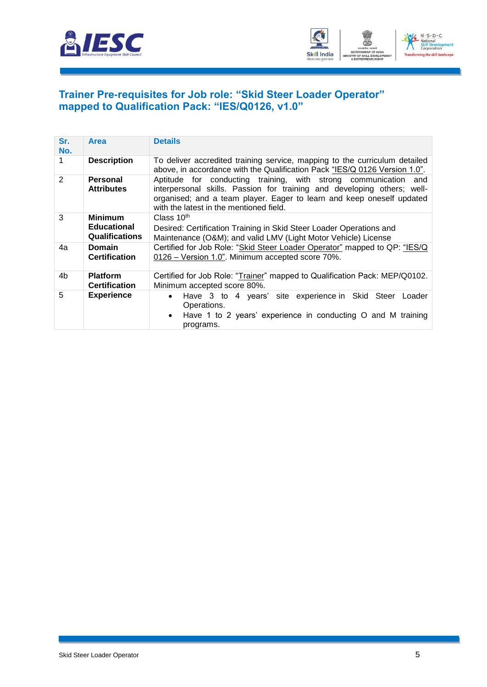



#### <span id="page-7-0"></span>**Trainer Pre-requisites for Job role: "Skid Steer Loader Operator" mapped to Qualification Pack: "IES/Q0126, v1.0"**

| Sr.<br>No. | <b>Area</b>                                 | <b>Details</b>                                                                                                                                                                                                                                                 |
|------------|---------------------------------------------|----------------------------------------------------------------------------------------------------------------------------------------------------------------------------------------------------------------------------------------------------------------|
| 1          | <b>Description</b>                          | To deliver accredited training service, mapping to the curriculum detailed<br>above, in accordance with the Qualification Pack "IES/Q 0126 Version 1.0".                                                                                                       |
| 2          | <b>Personal</b><br><b>Attributes</b>        | Aptitude for conducting training, with strong communication and<br>interpersonal skills. Passion for training and developing others; well-<br>organised; and a team player. Eager to learn and keep oneself updated<br>with the latest in the mentioned field. |
| 3          | <b>Minimum</b>                              | Class $10th$                                                                                                                                                                                                                                                   |
|            | <b>Educational</b><br><b>Qualifications</b> | Desired: Certification Training in Skid Steer Loader Operations and<br>Maintenance (O&M); and valid LMV (Light Motor Vehicle) License                                                                                                                          |
| 4a         | <b>Domain</b><br><b>Certification</b>       | Certified for Job Role: "Skid Steer Loader Operator" mapped to QP: "IES/Q<br>0126 - Version 1.0". Minimum accepted score 70%.                                                                                                                                  |
| 4b         | <b>Platform</b>                             |                                                                                                                                                                                                                                                                |
|            | <b>Certification</b>                        | Certified for Job Role: "Trainer" mapped to Qualification Pack: MEP/Q0102.<br>Minimum accepted score 80%.                                                                                                                                                      |
| 5          | <b>Experience</b>                           | Have 3 to 4 years' site experience in Skid Steer Loader<br>$\bullet$<br>Operations.<br>• Have 1 to 2 years' experience in conducting O and M training<br>programs.                                                                                             |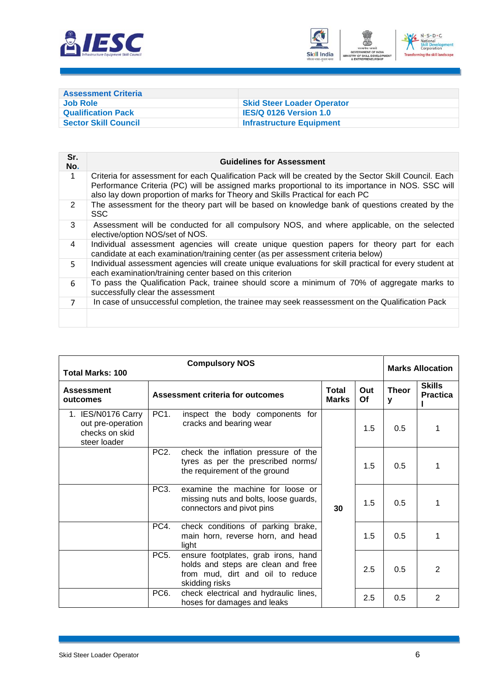



<span id="page-8-0"></span>

| <b>Assessment Criteria</b>  |                                   |
|-----------------------------|-----------------------------------|
| Job Role                    | <b>Skid Steer Loader Operator</b> |
| <b>Qualification Pack</b>   | <b>IES/Q 0126 Version 1.0</b>     |
| <b>Sector Skill Council</b> | <b>Infrastructure Equipment</b>   |

| Sr.<br>No.     | <b>Guidelines for Assessment</b>                                                                                                                                                                                                                                                           |
|----------------|--------------------------------------------------------------------------------------------------------------------------------------------------------------------------------------------------------------------------------------------------------------------------------------------|
| 1              | Criteria for assessment for each Qualification Pack will be created by the Sector Skill Council. Each<br>Performance Criteria (PC) will be assigned marks proportional to its importance in NOS. SSC will<br>also lay down proportion of marks for Theory and Skills Practical for each PC |
| $\overline{2}$ | The assessment for the theory part will be based on knowledge bank of questions created by the<br><b>SSC</b>                                                                                                                                                                               |
| 3              | Assessment will be conducted for all compulsory NOS, and where applicable, on the selected<br>elective/option NOS/set of NOS.                                                                                                                                                              |
| 4              | Individual assessment agencies will create unique question papers for theory part for each<br>candidate at each examination/training center (as per assessment criteria below)                                                                                                             |
| 5.             | Individual assessment agencies will create unique evaluations for skill practical for every student at<br>each examination/training center based on this criterion                                                                                                                         |
| 6              | To pass the Qualification Pack, trainee should score a minimum of 70% of aggregate marks to<br>successfully clear the assessment                                                                                                                                                           |
| $\overline{7}$ | In case of unsuccessful completion, the trainee may seek reassessment on the Qualification Pack                                                                                                                                                                                            |
|                |                                                                                                                                                                                                                                                                                            |

| <b>Compulsory NOS</b><br><b>Total Marks: 100</b>                          |                   |                                                                                                                                 |                              |           | <b>Marks Allocation</b> |                                  |
|---------------------------------------------------------------------------|-------------------|---------------------------------------------------------------------------------------------------------------------------------|------------------------------|-----------|-------------------------|----------------------------------|
| <b>Assessment</b><br>outcomes                                             |                   | <b>Assessment criteria for outcomes</b>                                                                                         | <b>Total</b><br><b>Marks</b> | Out<br>Of | <b>Theor</b><br>y       | <b>Skills</b><br><b>Practica</b> |
| 1. IES/N0176 Carry<br>out pre-operation<br>checks on skid<br>steer loader | PC <sub>1</sub> . | inspect the body components for<br>cracks and bearing wear                                                                      |                              | 1.5       | 0.5                     | 1                                |
|                                                                           | PC <sub>2</sub> . | check the inflation pressure of the<br>tyres as per the prescribed norms/<br>the requirement of the ground                      | 30                           | 1.5       | 0.5                     | 1                                |
|                                                                           | PC <sub>3</sub> . | examine the machine for loose or<br>missing nuts and bolts, loose guards,<br>connectors and pivot pins                          |                              | 1.5       | 0.5                     | 1                                |
|                                                                           | PC4.              | check conditions of parking brake,<br>main horn, reverse horn, and head<br>light                                                |                              | 1.5       | 0.5                     | 1                                |
|                                                                           | PC <sub>5</sub> . | ensure footplates, grab irons, hand<br>holds and steps are clean and free<br>from mud, dirt and oil to reduce<br>skidding risks |                              | 2.5       | 0.5                     | 2                                |
|                                                                           | PC <sub>6</sub> . | check electrical and hydraulic lines,<br>hoses for damages and leaks                                                            |                              | 2.5       | 0.5                     | 2                                |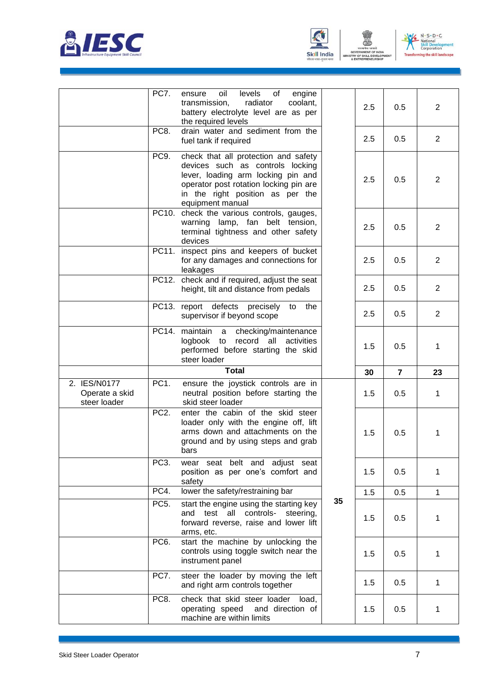





ENT

|                                                | PC7.              | oil<br>levels<br>engine<br>of<br>ensure<br>radiator<br>transmission,<br>coolant,<br>battery electrolyte level are as per<br>the required levels                                                                  |    | 2.5 | 0.5            | $\overline{2}$ |
|------------------------------------------------|-------------------|------------------------------------------------------------------------------------------------------------------------------------------------------------------------------------------------------------------|----|-----|----------------|----------------|
|                                                | PC8.              | drain water and sediment from the<br>fuel tank if required                                                                                                                                                       |    | 2.5 | 0.5            | $\overline{2}$ |
|                                                | PC <sub>9</sub> . | check that all protection and safety<br>devices such as controls locking<br>lever, loading arm locking pin and<br>operator post rotation locking pin are<br>in the right position as per the<br>equipment manual |    | 2.5 | 0.5            | 2              |
|                                                | PC10.             | check the various controls, gauges,<br>warning lamp, fan belt tension,<br>terminal tightness and other safety<br>devices                                                                                         |    | 2.5 | 0.5            | $\overline{2}$ |
|                                                | PC11.             | inspect pins and keepers of bucket<br>for any damages and connections for<br>leakages                                                                                                                            |    | 2.5 | 0.5            | $\overline{2}$ |
|                                                | PC12.             | check and if required, adjust the seat<br>height, tilt and distance from pedals                                                                                                                                  |    | 2.5 | 0.5            | $\overline{2}$ |
|                                                |                   | PC13. report defects precisely<br>the<br>to<br>supervisor if beyond scope                                                                                                                                        |    | 2.5 | 0.5            | $\overline{2}$ |
|                                                | PC14.             | maintain<br>checking/maintenance<br>a<br>logbook to<br>record<br>all<br>activities<br>performed before starting the skid<br>steer loader                                                                         |    | 1.5 | 0.5            | 1              |
|                                                |                   | <b>Total</b>                                                                                                                                                                                                     |    | 30  | $\overline{7}$ | 23             |
| 2. IES/N0177<br>Operate a skid<br>steer loader | PC <sub>1</sub> . | ensure the joystick controls are in<br>neutral position before starting the<br>skid steer loader                                                                                                                 |    | 1.5 | 0.5            | 1              |
|                                                | PC <sub>2</sub> . | enter the cabin of the skid steer<br>loader only with the engine off, lift<br>arms down and attachments on the<br>ground and by using steps and grab<br>bars                                                     |    | 1.5 | 0.5            | 1              |
|                                                |                   |                                                                                                                                                                                                                  |    |     |                |                |
|                                                | PC <sub>3</sub> . | wear seat belt and adjust seat<br>position as per one's comfort and<br>safety                                                                                                                                    |    | 1.5 | 0.5            | 1              |
|                                                | PC4.              | lower the safety/restraining bar                                                                                                                                                                                 |    | 1.5 | 0.5            | 1              |
|                                                | PC <sub>5</sub> . | start the engine using the starting key<br>test all controls-<br>steering,<br>and<br>forward reverse, raise and lower lift<br>arms, etc.                                                                         | 35 | 1.5 | 0.5            | 1              |
|                                                | PC <sub>6</sub> . | start the machine by unlocking the<br>controls using toggle switch near the<br>instrument panel                                                                                                                  |    | 1.5 | 0.5            | 1              |
|                                                | PC7.<br>PC8.      | steer the loader by moving the left<br>and right arm controls together<br>check that skid steer loader                                                                                                           |    | 1.5 | 0.5            | 1              |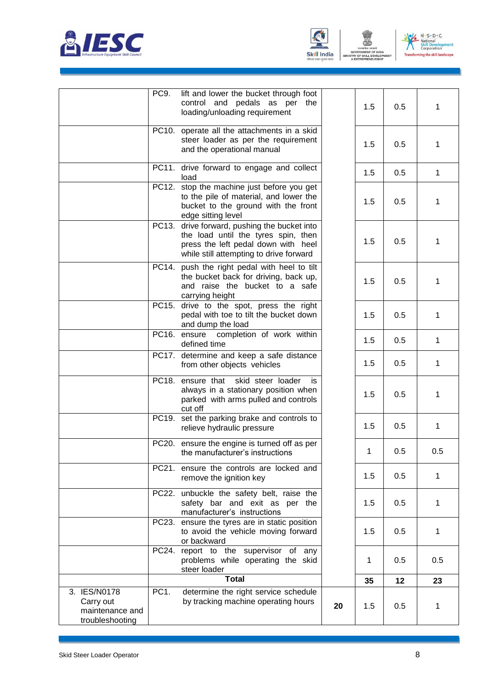





|                                                                 | PC9.              | lift and lower the bucket through foot<br>control and pedals as per the<br>loading/unloading requirement                                                              |    | 1.5          | 0.5 | 1   |
|-----------------------------------------------------------------|-------------------|-----------------------------------------------------------------------------------------------------------------------------------------------------------------------|----|--------------|-----|-----|
|                                                                 |                   | PC10. operate all the attachments in a skid<br>steer loader as per the requirement<br>and the operational manual                                                      |    | 1.5          | 0.5 | 1   |
|                                                                 |                   | PC11. drive forward to engage and collect<br>load                                                                                                                     |    | 1.5          | 0.5 | 1   |
|                                                                 |                   | PC12. stop the machine just before you get<br>to the pile of material, and lower the<br>bucket to the ground with the front<br>edge sitting level                     |    | 1.5          | 0.5 | 1   |
|                                                                 |                   | PC13. drive forward, pushing the bucket into<br>the load until the tyres spin, then<br>press the left pedal down with heel<br>while still attempting to drive forward |    | 1.5          | 0.5 | 1   |
|                                                                 | PC14.             | push the right pedal with heel to tilt<br>the bucket back for driving, back up,<br>and raise the bucket to a safe<br>carrying height                                  |    | 1.5          | 0.5 | 1   |
|                                                                 |                   | PC15. drive to the spot, press the right<br>pedal with toe to tilt the bucket down<br>and dump the load                                                               |    | 1.5          | 0.5 | 1   |
|                                                                 |                   | PC16. ensure<br>completion of work within<br>defined time                                                                                                             |    | 1.5          | 0.5 | 1   |
|                                                                 |                   | PC17. determine and keep a safe distance<br>from other objects vehicles                                                                                               |    | 1.5          | 0.5 | 1   |
|                                                                 |                   | PC18. ensure that<br>skid steer loader<br>is.<br>always in a stationary position when<br>parked with arms pulled and controls<br>cut off                              |    | 1.5          | 0.5 | 1   |
|                                                                 |                   | PC19. set the parking brake and controls to<br>relieve hydraulic pressure                                                                                             |    | 1.5          | 0.5 | 1   |
|                                                                 |                   | PC20. ensure the engine is turned off as per<br>the manufacturer's instructions                                                                                       |    | $\mathbf 1$  | 0.5 | 0.5 |
|                                                                 | PC21.             | ensure the controls are locked and<br>remove the ignition key                                                                                                         |    | 1.5          | 0.5 | 1   |
|                                                                 |                   | PC22. unbuckle the safety belt, raise the<br>safety bar and exit as per the<br>manufacturer's instructions                                                            |    | 1.5          | 0.5 | 1   |
|                                                                 |                   | PC23. ensure the tyres are in static position<br>to avoid the vehicle moving forward<br>or backward                                                                   |    | 1.5          | 0.5 | 1   |
|                                                                 |                   | PC24. report to the supervisor of any<br>problems while operating the skid<br>steer loader                                                                            |    | $\mathbf{1}$ | 0.5 | 0.5 |
|                                                                 |                   | <b>Total</b>                                                                                                                                                          |    | 35           | 12  | 23  |
| 3. IES/N0178<br>Carry out<br>maintenance and<br>troubleshooting | PC <sub>1</sub> . | determine the right service schedule<br>by tracking machine operating hours                                                                                           | 20 | 1.5          | 0.5 | 1   |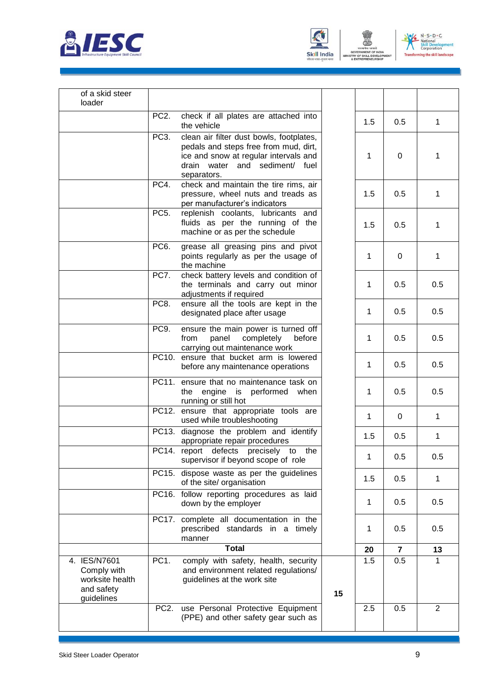





| of a skid steer<br>loader                                                  |                   |                                                                                                                                                                             |    |     |                |                |
|----------------------------------------------------------------------------|-------------------|-----------------------------------------------------------------------------------------------------------------------------------------------------------------------------|----|-----|----------------|----------------|
|                                                                            | PC <sub>2</sub> . | check if all plates are attached into<br>the vehicle                                                                                                                        |    | 1.5 | 0.5            | $\mathbf 1$    |
|                                                                            | PC <sub>3</sub> . | clean air filter dust bowls, footplates,<br>pedals and steps free from mud, dirt,<br>ice and snow at regular intervals and<br>drain water and sediment/ fuel<br>separators. |    | 1   | 0              | $\mathbf{1}$   |
|                                                                            | PC4.              | check and maintain the tire rims, air<br>pressure, wheel nuts and treads as<br>per manufacturer's indicators                                                                |    | 1.5 | 0.5            | 1              |
|                                                                            | PC <sub>5</sub> . | replenish coolants, lubricants and<br>fluids as per the running of the<br>machine or as per the schedule                                                                    |    | 1.5 | 0.5            | $\mathbf{1}$   |
|                                                                            | PC <sub>6</sub> . | grease all greasing pins and pivot<br>points regularly as per the usage of<br>the machine                                                                                   |    | 1   | 0              | $\mathbf{1}$   |
|                                                                            | PC7.              | check battery levels and condition of<br>the terminals and carry out minor<br>adjustments if required                                                                       |    | 1   | 0.5            | 0.5            |
|                                                                            | PC8.              | ensure all the tools are kept in the<br>designated place after usage                                                                                                        |    | 1   | 0.5            | 0.5            |
|                                                                            | PC9.              | ensure the main power is turned off<br>from<br>panel<br>completely<br>before<br>carrying out maintenance work                                                               |    | 1   | 0.5            | 0.5            |
|                                                                            |                   | PC10. ensure that bucket arm is lowered<br>before any maintenance operations                                                                                                |    | 1   | 0.5            | 0.5            |
|                                                                            |                   | PC11. ensure that no maintenance task on<br>the<br>engine is performed when<br>running or still hot                                                                         |    | 1   | 0.5            | 0.5            |
|                                                                            |                   | PC12. ensure that appropriate tools are<br>used while troubleshooting                                                                                                       |    | 1   | 0              | $\mathbf{1}$   |
|                                                                            |                   | PC13. diagnose the problem and identify<br>appropriate repair procedures                                                                                                    |    | 1.5 | 0.5            | $\mathbf{1}$   |
|                                                                            |                   | PC14. report defects precisely<br>to the<br>supervisor if beyond scope of role                                                                                              |    | 1   | 0.5            | 0.5            |
|                                                                            |                   | PC15. dispose waste as per the guidelines<br>of the site/ organisation                                                                                                      |    | 1.5 | 0.5            | $\mathbf{1}$   |
|                                                                            |                   | PC16. follow reporting procedures as laid<br>down by the employer                                                                                                           |    | 1   | 0.5            | 0.5            |
|                                                                            |                   | PC17. complete all documentation in the<br>prescribed standards in a timely<br>manner                                                                                       |    | 1   | 0.5            | 0.5            |
|                                                                            |                   | <b>Total</b>                                                                                                                                                                |    | 20  | $\overline{7}$ | 13             |
| 4. IES/N7601<br>Comply with<br>worksite health<br>and safety<br>guidelines | PC <sub>1</sub> . | comply with safety, health, security<br>and environment related regulations/<br>guidelines at the work site                                                                 | 15 | 1.5 | $0.5\,$        | $\mathbf{1}$   |
|                                                                            | PC <sub>2</sub> . | use Personal Protective Equipment<br>(PPE) and other safety gear such as                                                                                                    |    | 2.5 | 0.5            | $\overline{2}$ |
|                                                                            |                   |                                                                                                                                                                             |    |     |                |                |